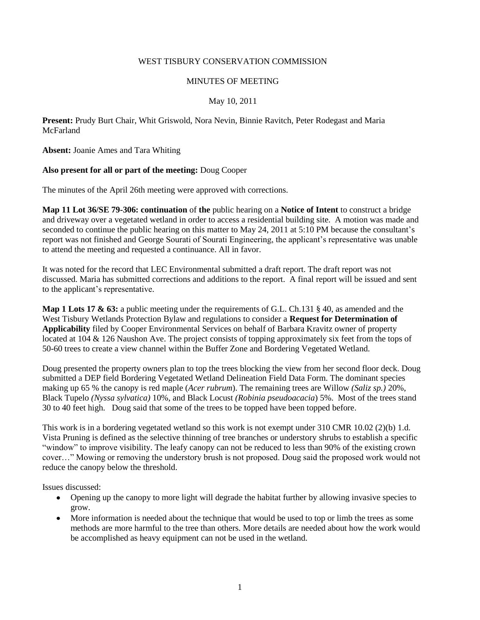### WEST TISBURY CONSERVATION COMMISSION

#### MINUTES OF MEETING

### May 10, 2011

**Present:** Prudy Burt Chair, Whit Griswold, Nora Nevin, Binnie Ravitch, Peter Rodegast and Maria **McFarland** 

**Absent:** Joanie Ames and Tara Whiting

### **Also present for all or part of the meeting:** Doug Cooper

The minutes of the April 26th meeting were approved with corrections.

**Map 11 Lot 36/SE 79-306: continuation** of **the** public hearing on a **Notice of Intent** to construct a bridge and driveway over a vegetated wetland in order to access a residential building site. A motion was made and seconded to continue the public hearing on this matter to May 24, 2011 at 5:10 PM because the consultant's report was not finished and George Sourati of Sourati Engineering, the applicant's representative was unable to attend the meeting and requested a continuance. All in favor.

It was noted for the record that LEC Environmental submitted a draft report. The draft report was not discussed. Maria has submitted corrections and additions to the report. A final report will be issued and sent to the applicant's representative.

**Map 1 Lots 17 & 63:** a public meeting under the requirements of G.L. Ch.131 § 40, as amended and the West Tisbury Wetlands Protection Bylaw and regulations to consider a **Request for Determination of Applicability** filed by Cooper Environmental Services on behalf of Barbara Kravitz owner of property located at 104 & 126 Naushon Ave. The project consists of topping approximately six feet from the tops of 50-60 trees to create a view channel within the Buffer Zone and Bordering Vegetated Wetland.

Doug presented the property owners plan to top the trees blocking the view from her second floor deck. Doug submitted a DEP field Bordering Vegetated Wetland Delineation Field Data Form. The dominant species making up 65 % the canopy is red maple (*Acer rubrum*). The remaining trees are Willow *(Saliz sp.)* 20%, Black Tupelo *(Nyssa sylvatica)* 10%, and Black Locust *(Robinia pseudoacacia*) 5%. Most of the trees stand 30 to 40 feet high. Doug said that some of the trees to be topped have been topped before.

This work is in a bordering vegetated wetland so this work is not exempt under 310 CMR 10.02 (2)(b) 1.d. Vista Pruning is defined as the selective thinning of tree branches or understory shrubs to establish a specific "window" to improve visibility. The leafy canopy can not be reduced to less than 90% of the existing crown cover…" Mowing or removing the understory brush is not proposed. Doug said the proposed work would not reduce the canopy below the threshold.

Issues discussed:

- Opening up the canopy to more light will degrade the habitat further by allowing invasive species to grow.
- More information is needed about the technique that would be used to top or limb the trees as some methods are more harmful to the tree than others. More details are needed about how the work would be accomplished as heavy equipment can not be used in the wetland.